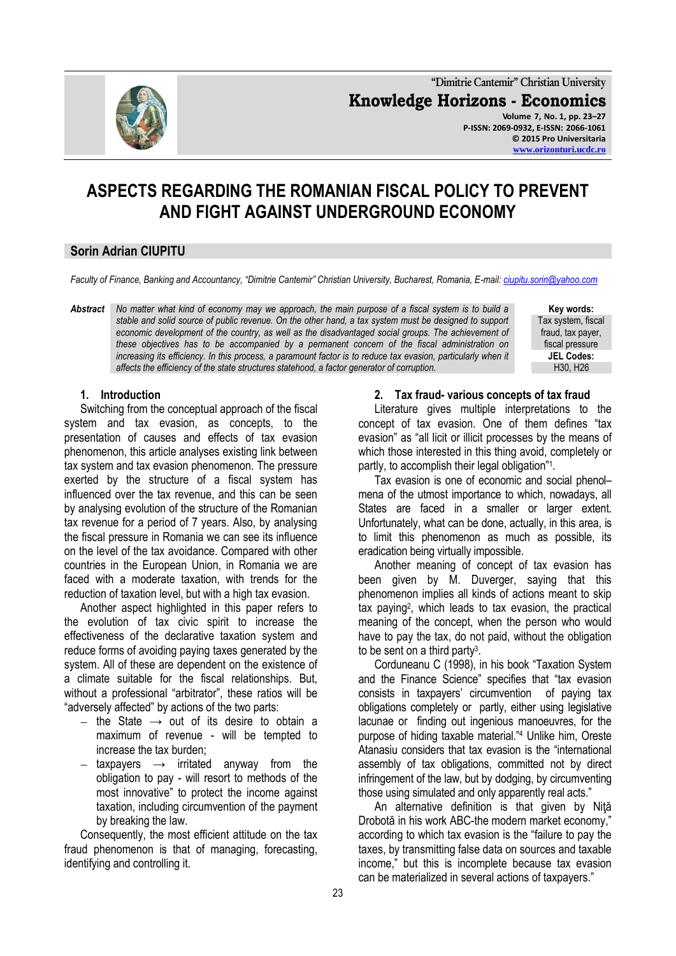

**"Dimitrie Cantemir" Christian University Knowledge Horizons - Economics Volume 7, No. 1, pp. 23–27 P-ISSN: 2069-0932, E-ISSN: 2066-1061 © 2015 Pro Universitaria**

# **ASPECTS REGARDING THE ROMANIAN FISCAL POLICY TO PREVENT AND FIGHT AGAINST UNDERGROUND ECONOMY**

# **Sorin Adrian CIUPITU**

*Faculty of Finance, Banking and Accountancy, "Dimitrie Cantemir" Christian University, Bucharest, Romania, E-mail[: ciupitu.sorin@yahoo.com](mailto:ciupitu.sorin@yahoo.com)*

*Abstract No matter what kind of economy may we approach, the main purpose of a fiscal system is to build a stable and solid source of public revenue. On the other hand, a tax system must be designed to support economic development of the country, as well as the disadvantaged social groups. The achievement of these objectives has to be accompanied by a permanent concern of the fiscal administration on increasing its efficiency. In this process, a paramount factor is to reduce tax evasion, particularly when it affects the efficiency of the state structures statehood, a factor generator of corruption.*

**Key words:** Tax system, fiscal fraud, tax payer, fiscal pressure **JEL Codes:** H30, H26

**[www.orizonturi.ucdc.ro](http://www.orizonturi.ucdc.ro/)**

#### **1. Introduction**

Switching from the conceptual approach of the fiscal system and tax evasion, as concepts, to the presentation of causes and effects of tax evasion phenomenon, this article analyses existing link between tax system and tax evasion phenomenon. The pressure exerted by the structure of a fiscal system has influenced over the tax revenue, and this can be seen by analysing evolution of the structure of the Romanian tax revenue for a period of 7 years. Also, by analysing the fiscal pressure in Romania we can see its influence on the level of the tax avoidance. Compared with other countries in the European Union, in Romania we are faced with a moderate taxation, with trends for the reduction of taxation level, but with a high tax evasion.

Another aspect highlighted in this paper refers to the evolution of tax civic spirit to increase the effectiveness of the declarative taxation system and reduce forms of avoiding paying taxes generated by the system. All of these are dependent on the existence of a climate suitable for the fiscal relationships. But, without a professional "arbitrator", these ratios will be "adversely affected" by actions of the two parts:

- the State  $\rightarrow$  out of its desire to obtain a maximum of revenue - will be tempted to increase the tax burden;
- taxpayers  $\rightarrow$  irritated anyway from the obligation to pay - will resort to methods of the most innovative" to protect the income against taxation, including circumvention of the payment by breaking the law.

Consequently, the most efficient attitude on the tax fraud phenomenon is that of managing, forecasting, identifying and controlling it.

#### **2. Tax fraud- various concepts of tax fraud**

Literature gives multiple interpretations to the concept of tax evasion. One of them defines "tax evasion" as "all licit or illicit processes by the means of which those interested in this thing avoid, completely or partly, to accomplish their legal obligation"<sup>1</sup>.

Tax evasion is one of economic and social phenol– mena of the utmost importance to which, nowadays, all States are faced in a smaller or larger extent. Unfortunately, what can be done, actually, in this area, is to limit this phenomenon as much as possible, its eradication being virtually impossible.

Another meaning of concept of tax evasion has been given by M. Duverger, saying that this phenomenon implies all kinds of actions meant to skip tax paying<sup>2</sup> , which leads to tax evasion, the practical meaning of the concept, when the person who would have to pay the tax, do not paid, without the obligation to be sent on a third party<sup>3</sup>.

Corduneanu C (1998), in his book "Taxation System and the Finance Science" specifies that "tax evasion consists in taxpayers' circumvention of paying tax obligations completely or partly, either using legislative lacunae or finding out ingenious manoeuvres, for the purpose of hiding taxable material."<sup>4</sup> Unlike him, Oreste Atanasiu considers that tax evasion is the "international assembly of tax obligations, committed not by direct infringement of the law, but by dodging, by circumventing those using simulated and only apparently real acts."

An alternative definition is that given by Niţă Drobotă in his work ABC-the modern market economy," according to which tax evasion is the "failure to pay the taxes, by transmitting false data on sources and taxable income," but this is incomplete because tax evasion can be materialized in several actions of taxpayers."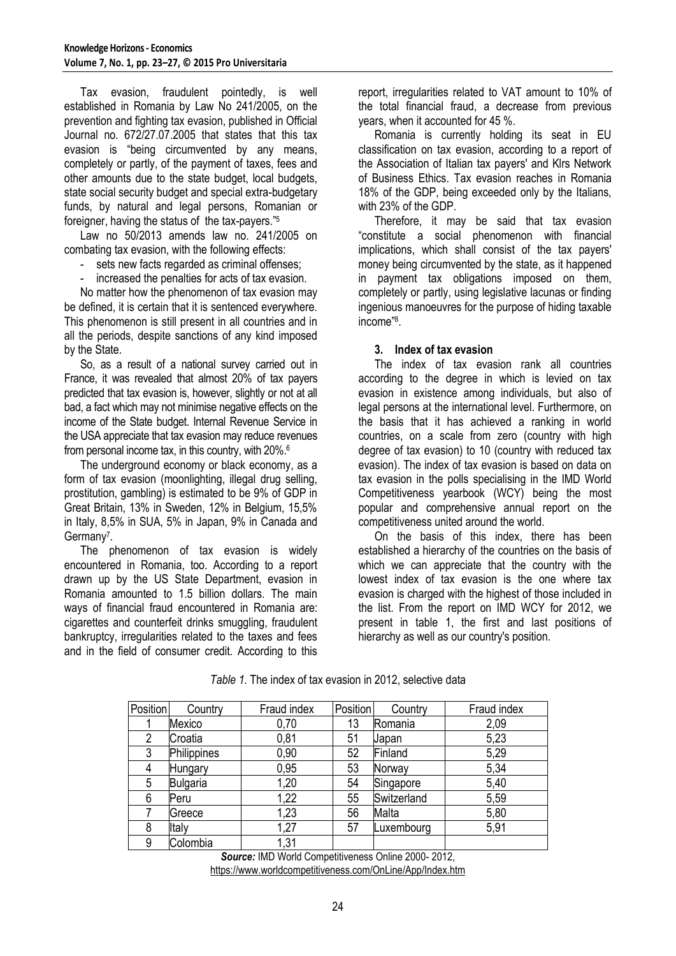Tax evasion, fraudulent pointedly, is well established in Romania by Law No 241/2005, on the prevention and fighting tax evasion, published in Official Journal no. 672/27.07.2005 that states that this tax evasion is "being circumvented by any means, completely or partly, of the payment of taxes, fees and other amounts due to the state budget, local budgets, state social security budget and special extra-budgetary funds, by natural and legal persons, Romanian or foreigner, having the status of the tax-payers."<sup>5</sup>

Law no 50/2013 amends law no. 241/2005 on combating tax evasion, with the following effects:

- sets new facts regarded as criminal offenses;

increased the penalties for acts of tax evasion.

No matter how the phenomenon of tax evasion may be defined, it is certain that it is sentenced everywhere. This phenomenon is still present in all countries and in all the periods, despite sanctions of any kind imposed by the State.

So, as a result of a national survey carried out in France, it was revealed that almost 20% of tax payers predicted that tax evasion is, however, slightly or not at all bad, a fact which may not minimise negative effects on the income of the State budget. Internal Revenue Service in the USA appreciate that tax evasion may reduce revenues from personal income tax, in this country, with 20%.<sup>6</sup>

The underground economy or black economy, as a form of tax evasion (moonlighting, illegal drug selling, prostitution, gambling) is estimated to be 9% of GDP in Great Britain, 13% in Sweden, 12% in Belgium, 15,5% in Italy, 8,5% in SUA, 5% in Japan, 9% in Canada and Germany<sup>7</sup>.

The phenomenon of tax evasion is widely encountered in Romania, too. According to a report drawn up by the US State Department, evasion in Romania amounted to 1.5 billion dollars. The main ways of financial fraud encountered in Romania are: cigarettes and counterfeit drinks smuggling, fraudulent bankruptcy, irregularities related to the taxes and fees and in the field of consumer credit. According to this

report, irregularities related to VAT amount to 10% of the total financial fraud, a decrease from previous years, when it accounted for 45 %.

Romania is currently holding its seat in EU classification on tax evasion, according to a report of the Association of Italian tax payers' and Klrs Network of Business Ethics. Tax evasion reaches in Romania 18% of the GDP, being exceeded only by the Italians, with 23% of the GDP.

Therefore, it may be said that tax evasion "constitute a social phenomenon with financial implications, which shall consist of the tax payers' money being circumvented by the state, as it happened in payment tax obligations imposed on them, completely or partly, using legislative lacunas or finding ingenious manoeuvres for the purpose of hiding taxable income"<sup>8</sup> .

#### **3. Index of tax evasion**

The index of tax evasion rank all countries according to the degree in which is levied on tax evasion in existence among individuals, but also of legal persons at the international level. Furthermore, on the basis that it has achieved a ranking in world countries, on a scale from zero (country with high degree of tax evasion) to 10 (country with reduced tax evasion). The index of tax evasion is based on data on tax evasion in the polls specialising in the IMD World Competitiveness yearbook (WCY) being the most popular and comprehensive annual report on the competitiveness united around the world.

On the basis of this index, there has been established a hierarchy of the countries on the basis of which we can appreciate that the country with the lowest index of tax evasion is the one where tax evasion is charged with the highest of those included in the list. From the report on IMD WCY for 2012, we present in table 1, the first and last positions of hierarchy as well as our country's position.

| Position       | Country         | Fraud index | Position | Country     | Fraud index |
|----------------|-----------------|-------------|----------|-------------|-------------|
|                | Mexico          | 0,70        | 13       | Romania     | 2,09        |
| $\overline{2}$ | Croatia         | 0,81        | 51       | Japan       | 5,23        |
| 3              | Philippines     | 0,90        | 52       | Finland     | 5,29        |
| 4              | Hungary         | 0,95        | 53       | Norway      | 5,34        |
| 5              | <b>Bulgaria</b> | 1,20        | 54       | Singapore   | 5,40        |
| 6              | Peru            | 1,22        | 55       | Switzerland | 5,59        |
|                | Greece          | 1,23        | 56       | Malta       | 5,80        |
| 8              | Italy           | 1,27        | 57       | Luxembourg  | 5,91        |
| 9              | Colombia        | 1,31        |          |             |             |

*Table 1.* The index of tax evasion in 2012, selective data

*Source:* IMD World Competitiveness Online 2000- 2012, <https://www.worldcompetitiveness.com/OnLine/App/Index.htm>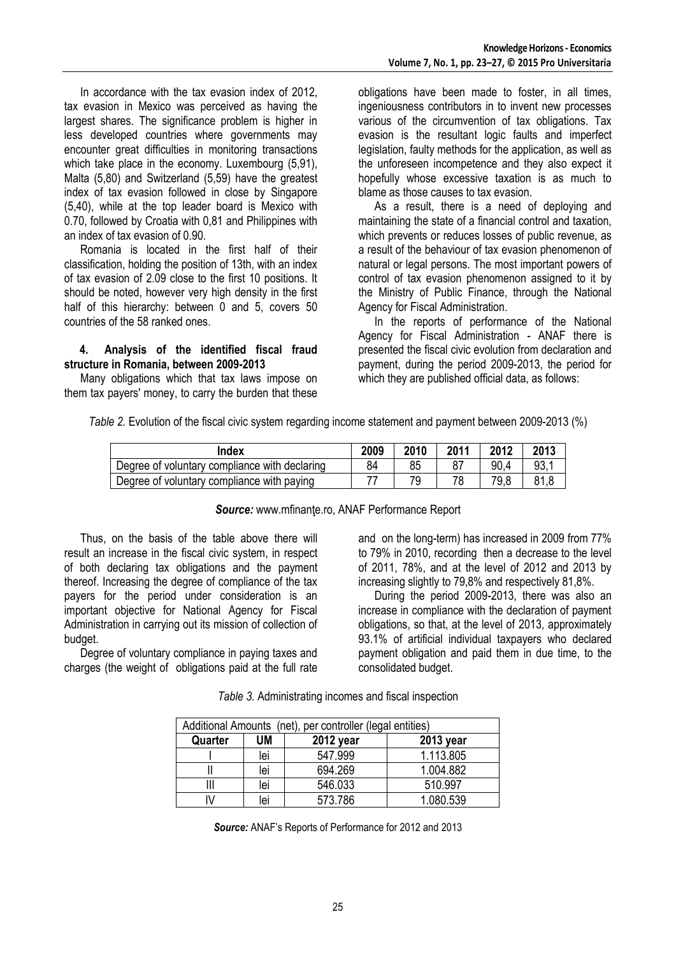In accordance with the tax evasion index of 2012, tax evasion in Mexico was perceived as having the largest shares. The significance problem is higher in less developed countries where governments may encounter great difficulties in monitoring transactions which take place in the economy. Luxembourg (5.91), Malta (5,80) and Switzerland (5,59) have the greatest index of tax evasion followed in close by Singapore (5,40), while at the top leader board is Mexico with 0.70, followed by Croatia with 0,81 and Philippines with an index of tax evasion of 0.90.

Romania is located in the first half of their classification, holding the position of 13th, with an index of tax evasion of 2.09 close to the first 10 positions. It should be noted, however very high density in the first half of this hierarchy: between 0 and 5, covers 50 countries of the 58 ranked ones.

## **4. Analysis of the identified fiscal fraud structure in Romania, between 2009-2013**

Many obligations which that tax laws impose on them tax payers' money, to carry the burden that these obligations have been made to foster, in all times, ingeniousness contributors in to invent new processes various of the circumvention of tax obligations. Tax evasion is the resultant logic faults and imperfect legislation, faulty methods for the application, as well as the unforeseen incompetence and they also expect it hopefully whose excessive taxation is as much to blame as those causes to tax evasion.

As a result, there is a need of deploying and maintaining the state of a financial control and taxation, which prevents or reduces losses of public revenue, as a result of the behaviour of tax evasion phenomenon of natural or legal persons. The most important powers of control of tax evasion phenomenon assigned to it by the Ministry of Public Finance, through the National Agency for Fiscal Administration.

In the reports of performance of the National Agency for Fiscal Administration - ANAF there is presented the fiscal civic evolution from declaration and payment, during the period 2009-2013, the period for which they are published official data, as follows:

| Index                                         | 2009 | 2010 | 2011 | 2012 | 2013 |
|-----------------------------------------------|------|------|------|------|------|
| Degree of voluntary compliance with declaring | 84   | 85   |      | 90.4 | 93.  |
| Degree of voluntary compliance with paying    |      |      |      | 79,8 | 81,8 |

# *Table 2.* Evolution of the fiscal civic system regarding income statement and payment between 2009-2013 (%)

## **Source:** www.mfinante.ro, ANAF Performance Report

Thus, on the basis of the table above there will result an increase in the fiscal civic system, in respect of both declaring tax obligations and the payment thereof. Increasing the degree of compliance of the tax payers for the period under consideration is an important objective for National Agency for Fiscal Administration in carrying out its mission of collection of budget.

Degree of voluntary compliance in paying taxes and charges (the weight of obligations paid at the full rate and on the long-term) has increased in 2009 from 77% to 79% in 2010, recording then a decrease to the level of 2011, 78%, and at the level of 2012 and 2013 by increasing slightly to 79,8% and respectively 81,8%.

During the period 2009-2013, there was also an increase in compliance with the declaration of payment obligations, so that, at the level of 2013, approximately 93.1% of artificial individual taxpayers who declared payment obligation and paid them in due time, to the consolidated budget.

*Table 3.* Administrating incomes and fiscal inspection

| Additional Amounts (net), per controller (legal entities) |     |           |           |  |  |
|-----------------------------------------------------------|-----|-----------|-----------|--|--|
| Quarter                                                   | UM  | 2012 year | 2013 year |  |  |
|                                                           | lei | 547.999   | 1.113.805 |  |  |
|                                                           | lei | 694.269   | 1.004.882 |  |  |
|                                                           | lei | 546.033   | 510.997   |  |  |
|                                                           | lei | 573.786   | 1.080.539 |  |  |

*Source:* ANAF's Reports of Performance for 2012 and 2013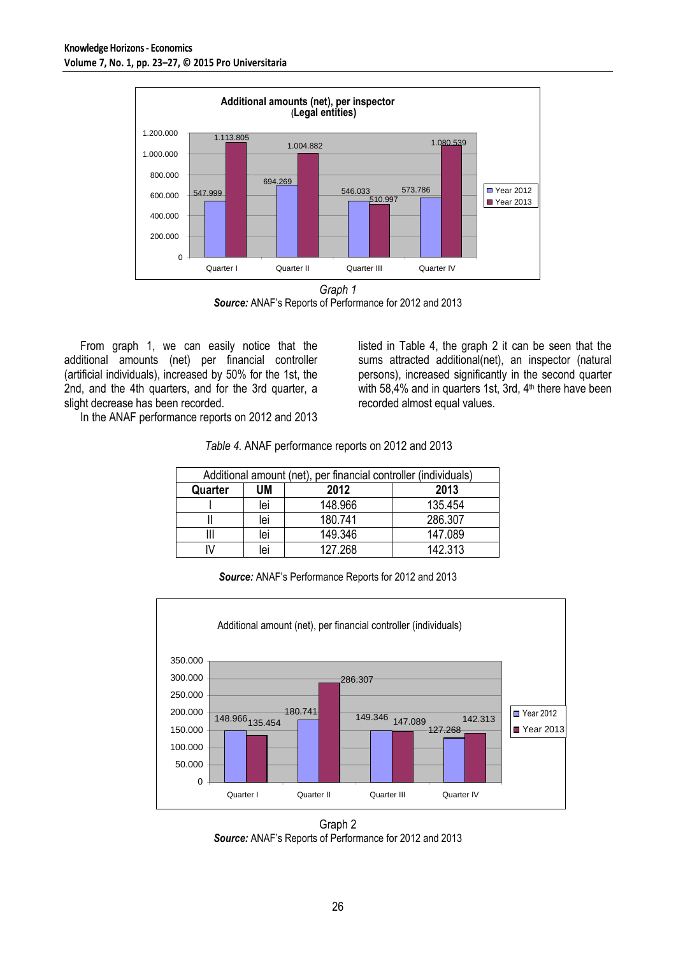

*Graph 1 Source:* ANAF's Reports of Performance for 2012 and 2013

From graph 1, we can easily notice that the additional amounts (net) per financial controller (artificial individuals), increased by 50% for the 1st, the 2nd, and the 4th quarters, and for the 3rd quarter, a slight decrease has been recorded.

In the ANAF performance reports on 2012 and 2013

listed in Table 4, the graph 2 it can be seen that the sums attracted additional(net), an inspector (natural persons), increased significantly in the second quarter with 58,4% and in quarters 1st, 3rd,  $4<sup>th</sup>$  there have been recorded almost equal values.

| Additional amount (net), per financial controller (individuals) |     |         |         |  |  |
|-----------------------------------------------------------------|-----|---------|---------|--|--|
| Quarter                                                         | UM  | 2012    | 2013    |  |  |
|                                                                 | lei | 148.966 | 135.454 |  |  |
|                                                                 | lei | 180.741 | 286.307 |  |  |
|                                                                 | lei | 149.346 | 147.089 |  |  |
|                                                                 | lei | 127.268 | 142.313 |  |  |

*Table 4.* ANAF performance reports on 2012 and 2013

*Source:* ANAF's Performance Reports for 2012 and 2013



Graph 2 *Source:* ANAF's Reports of Performance for 2012 and 2013